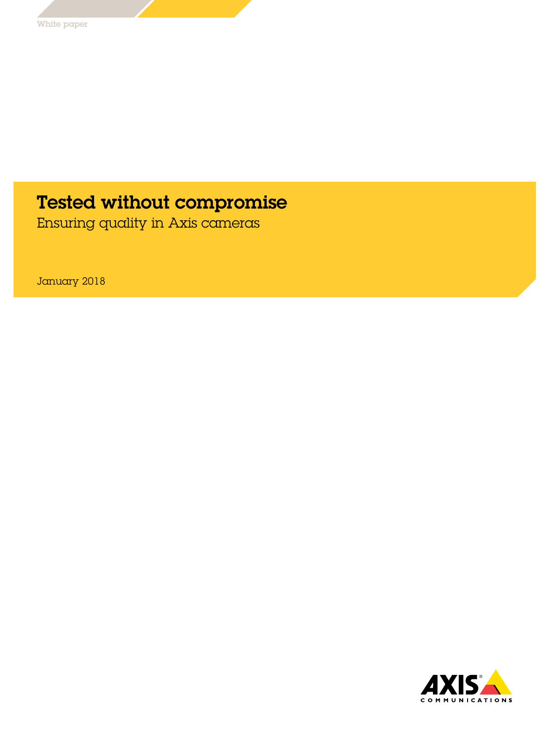## Tested without compromise

Ensuring quality in Axis cameras

January 2018

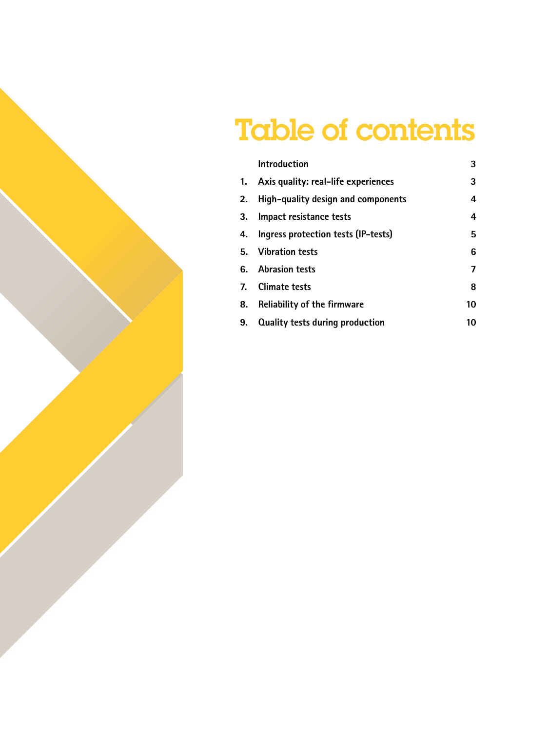# Table of contents

|    | <b>Introduction</b>                    | 3  |
|----|----------------------------------------|----|
|    | 1. Axis quality: real-life experiences | 3  |
| 2. | High-quality design and components     | 4  |
|    | 3. Impact resistance tests             | 4  |
| 4. | Ingress protection tests (IP-tests)    | 5  |
|    | 5. Vibration tests                     | 6  |
|    | 6. Abrasion tests                      | 7  |
|    | 7. Climate tests                       | 8  |
| 8. | <b>Reliability of the firmware</b>     | 10 |
| 9. | <b>Quality tests during production</b> | 10 |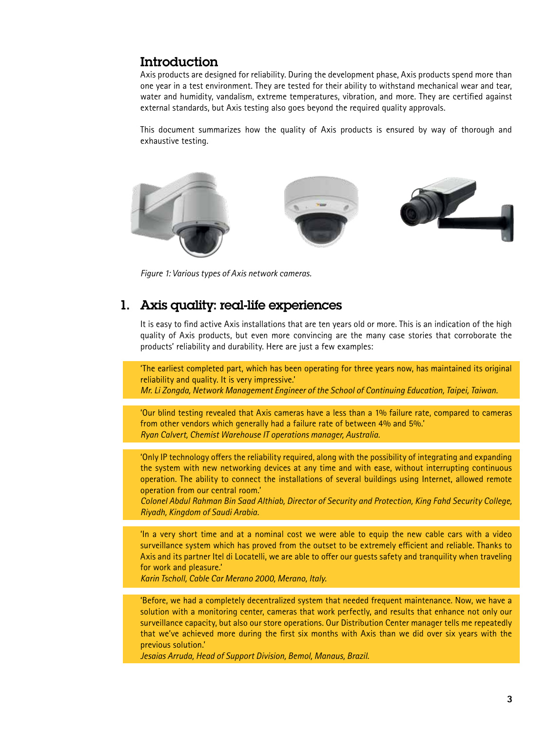## <span id="page-2-0"></span>Introduction

Axis products are designed for reliability. During the development phase, Axis products spend more than one year in a test environment. They are tested for their ability to withstand mechanical wear and tear, water and humidity, vandalism, extreme temperatures, vibration, and more. They are certified against external standards, but Axis testing also goes beyond the required quality approvals.

This document summarizes how the quality of Axis products is ensured by way of thorough and exhaustive testing.



*Figure 1: Various types of Axis network cameras.*

## 1. Axis quality: real-life experiences

It is easy to find active Axis installations that are ten years old or more. This is an indication of the high quality of Axis products, but even more convincing are the many case stories that corroborate the products' reliability and durability. Here are just a few examples:

'The earliest completed part, which has been operating for three years now, has maintained its original reliability and quality. It is very impressive.'

*Mr. Li Zongda, Network Management Engineer of the School of Continuing Education, Taipei, Taiwan.*

'Our blind testing revealed that Axis cameras have a less than a 1% failure rate, compared to cameras from other vendors which generally had a failure rate of between 4% and 5%.' *Ryan Calvert, Chemist Warehouse IT operations manager, Australia.*

'Only IP technology offers the reliability required, along with the possibility of integrating and expanding the system with new networking devices at any time and with ease, without interrupting continuous operation. The ability to connect the installations of several buildings using Internet, allowed remote operation from our central room.'

*Colonel Abdul Rahman Bin Saad Althiab, Director of Security and Protection, King Fahd Security College, Riyadh, Kingdom of Saudi Arabia.*

'In a very short time and at a nominal cost we were able to equip the new cable cars with a video surveillance system which has proved from the outset to be extremely efficient and reliable. Thanks to Axis and its partner Itel di Locatelli, we are able to offer our guests safety and tranquility when traveling for work and pleasure.'

*Karin Tscholl, Cable Car Merano 2000, Merano, Italy.*

'Before, we had a completely decentralized system that needed frequent maintenance. Now, we have a solution with a monitoring center, cameras that work perfectly, and results that enhance not only our surveillance capacity, but also our store operations. Our Distribution Center manager tells me repeatedly that we've achieved more during the first six months with Axis than we did over six years with the previous solution.'

*Jesaias Arruda, Head of Support Division, Bemol, Manaus, Brazil.*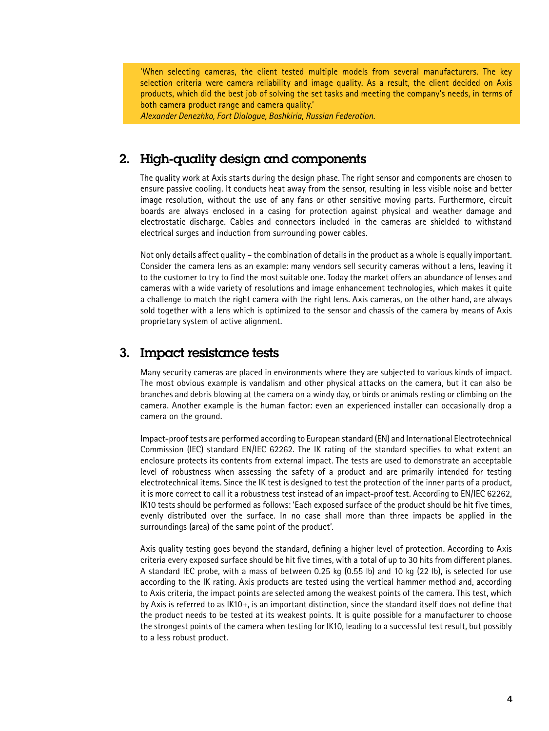<span id="page-3-0"></span>'When selecting cameras, the client tested multiple models from several manufacturers. The key selection criteria were camera reliability and image quality. As a result, the client decided on Axis products, which did the best job of solving the set tasks and meeting the company's needs, in terms of both camera product range and camera quality.'

*Alexander Denezhko, Fort Dialogue, Bashkiria, Russian Federation.*

## 2. High-quality design and components

The quality work at Axis starts during the design phase. The right sensor and components are chosen to ensure passive cooling. It conducts heat away from the sensor, resulting in less visible noise and better image resolution, without the use of any fans or other sensitive moving parts. Furthermore, circuit boards are always enclosed in a casing for protection against physical and weather damage and electrostatic discharge. Cables and connectors included in the cameras are shielded to withstand electrical surges and induction from surrounding power cables.

Not only details affect quality – the combination of details in the product as a whole is equally important. Consider the camera lens as an example: many vendors sell security cameras without a lens, leaving it to the customer to try to find the most suitable one. Today the market offers an abundance of lenses and cameras with a wide variety of resolutions and image enhancement technologies, which makes it quite a challenge to match the right camera with the right lens. Axis cameras, on the other hand, are always sold together with a lens which is optimized to the sensor and chassis of the camera by means of Axis proprietary system of active alignment.

#### 3. Impact resistance tests

Many security cameras are placed in environments where they are subjected to various kinds of impact. The most obvious example is vandalism and other physical attacks on the camera, but it can also be branches and debris blowing at the camera on a windy day, or birds or animals resting or climbing on the camera. Another example is the human factor: even an experienced installer can occasionally drop a camera on the ground.

Impact-proof tests are performed according to European standard (EN) and International Electrotechnical Commission (IEC) standard EN/IEC 62262. The IK rating of the standard specifies to what extent an enclosure protects its contents from external impact. The tests are used to demonstrate an acceptable level of robustness when assessing the safety of a product and are primarily intended for testing electrotechnical items. Since the IK test is designed to test the protection of the inner parts of a product, it is more correct to call it a robustness test instead of an impact-proof test. According to EN/IEC 62262, IK10 tests should be performed as follows: 'Each exposed surface of the product should be hit five times, evenly distributed over the surface. In no case shall more than three impacts be applied in the surroundings (area) of the same point of the product'.

Axis quality testing goes beyond the standard, defining a higher level of protection. According to Axis criteria every exposed surface should be hit five times, with a total of up to 30 hits from different planes. A standard IEC probe, with a mass of between 0.25 kg (0.55 lb) and 10 kg (22 lb), is selected for use according to the IK rating. Axis products are tested using the vertical hammer method and, according to Axis criteria, the impact points are selected among the weakest points of the camera. This test, which by Axis is referred to as IK10+, is an important distinction, since the standard itself does not define that the product needs to be tested at its weakest points. It is quite possible for a manufacturer to choose the strongest points of the camera when testing for IK10, leading to a successful test result, but possibly to a less robust product.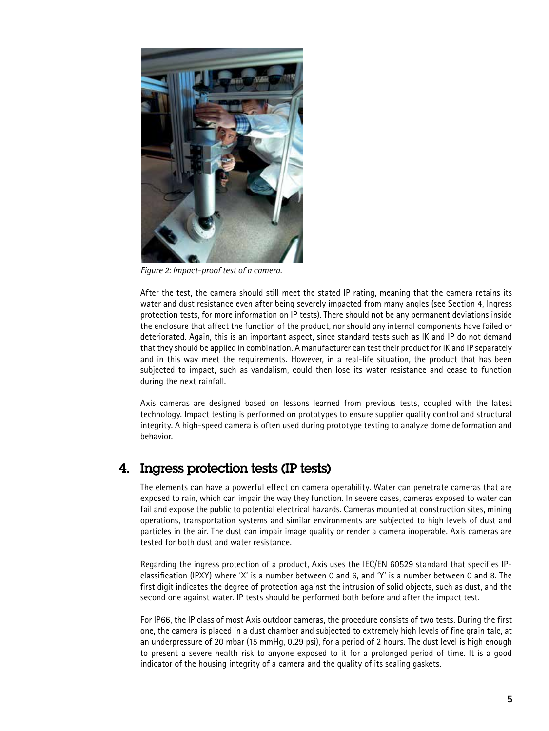<span id="page-4-0"></span>

*Figure 2: Impact-proof test of a camera.*

After the test, the camera should still meet the stated IP rating, meaning that the camera retains its water and dust resistance even after being severely impacted from many angles (see Section 4, Ingress protection tests, for more information on IP tests). There should not be any permanent deviations inside the enclosure that affect the function of the product, nor should any internal components have failed or deteriorated. Again, this is an important aspect, since standard tests such as IK and IP do not demand that they should be applied in combination. A manufacturer can test their product for IK and IP separately and in this way meet the requirements. However, in a real-life situation, the product that has been subjected to impact, such as vandalism, could then lose its water resistance and cease to function during the next rainfall.

Axis cameras are designed based on lessons learned from previous tests, coupled with the latest technology. Impact testing is performed on prototypes to ensure supplier quality control and structural integrity. A high-speed camera is often used during prototype testing to analyze dome deformation and behavior.

## 4. Ingress protection tests (IP tests)

The elements can have a powerful effect on camera operability. Water can penetrate cameras that are exposed to rain, which can impair the way they function. In severe cases, cameras exposed to water can fail and expose the public to potential electrical hazards. Cameras mounted at construction sites, mining operations, transportation systems and similar environments are subjected to high levels of dust and particles in the air. The dust can impair image quality or render a camera inoperable. Axis cameras are tested for both dust and water resistance.

Regarding the ingress protection of a product, Axis uses the IEC/EN 60529 standard that specifies IPclassification (IPXY) where 'X' is a number between 0 and 6, and 'Y' is a number between 0 and 8. The first digit indicates the degree of protection against the intrusion of solid objects, such as dust, and the second one against water. IP tests should be performed both before and after the impact test.

For IP66, the IP class of most Axis outdoor cameras, the procedure consists of two tests. During the first one, the camera is placed in a dust chamber and subjected to extremely high levels of fine grain talc, at an underpressure of 20 mbar (15 mmHg, 0.29 psi), for a period of 2 hours. The dust level is high enough to present a severe health risk to anyone exposed to it for a prolonged period of time. It is a good indicator of the housing integrity of a camera and the quality of its sealing gaskets.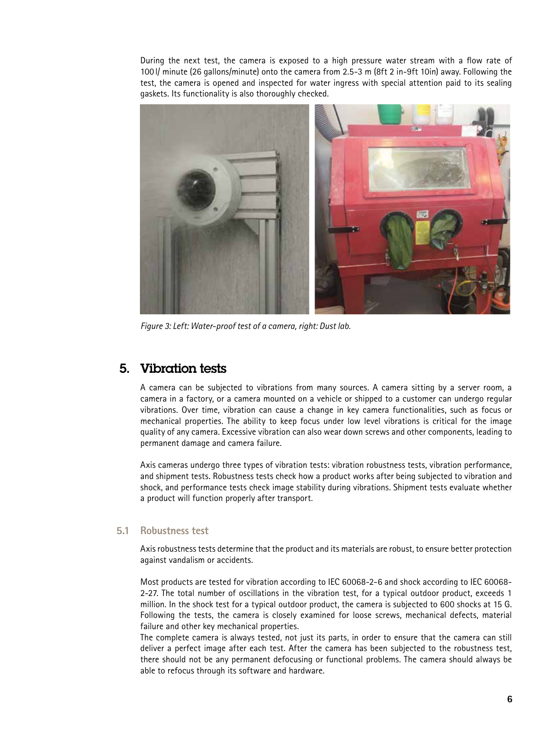<span id="page-5-0"></span>During the next test, the camera is exposed to a high pressure water stream with a flow rate of 100 l/ minute (26 gallons/minute) onto the camera from 2.5-3 m (8ft 2 in-9ft 10in) away. Following the test, the camera is opened and inspected for water ingress with special attention paid to its sealing gaskets. Its functionality is also thoroughly checked.



*Figure 3: Left: Water-proof test of a camera, right: Dust lab.*

## 5. Vibration tests

A camera can be subjected to vibrations from many sources. A camera sitting by a server room, a camera in a factory, or a camera mounted on a vehicle or shipped to a customer can undergo regular vibrations. Over time, vibration can cause a change in key camera functionalities, such as focus or mechanical properties. The ability to keep focus under low level vibrations is critical for the image quality of any camera. Excessive vibration can also wear down screws and other components, leading to permanent damage and camera failure.

Axis cameras undergo three types of vibration tests: vibration robustness tests, vibration performance, and shipment tests. Robustness tests check how a product works after being subjected to vibration and shock, and performance tests check image stability during vibrations. Shipment tests evaluate whether a product will function properly after transport.

#### **5.1 Robustness test**

Axis robustness tests determine that the product and its materials are robust, to ensure better protection against vandalism or accidents.

Most products are tested for vibration according to IEC 60068-2-6 and shock according to IEC 60068- 2-27. The total number of oscillations in the vibration test, for a typical outdoor product, exceeds 1 million. In the shock test for a typical outdoor product, the camera is subjected to 600 shocks at 15 G. Following the tests, the camera is closely examined for loose screws, mechanical defects, material failure and other key mechanical properties.

The complete camera is always tested, not just its parts, in order to ensure that the camera can still deliver a perfect image after each test. After the camera has been subjected to the robustness test, there should not be any permanent defocusing or functional problems. The camera should always be able to refocus through its software and hardware.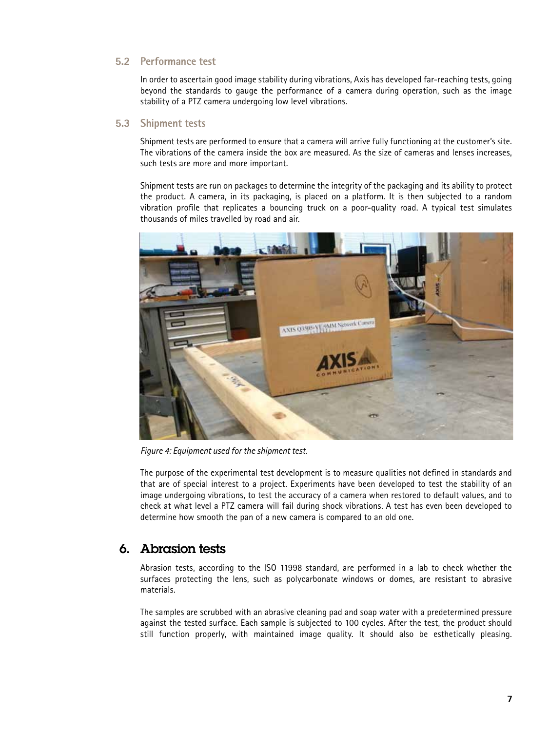#### <span id="page-6-0"></span>**5.2 Performance test**

In order to ascertain good image stability during vibrations, Axis has developed far-reaching tests, going beyond the standards to gauge the performance of a camera during operation, such as the image stability of a PTZ camera undergoing low level vibrations.

#### **5.3 Shipment tests**

Shipment tests are performed to ensure that a camera will arrive fully functioning at the customer's site. The vibrations of the camera inside the box are measured. As the size of cameras and lenses increases, such tests are more and more important.

Shipment tests are run on packages to determine the integrity of the packaging and its ability to protect the product. A camera, in its packaging, is placed on a platform. It is then subjected to a random vibration profile that replicates a bouncing truck on a poor-quality road. A typical test simulates thousands of miles travelled by road and air.



*Figure 4: Equipment used for the shipment test.*

The purpose of the experimental test development is to measure qualities not defined in standards and that are of special interest to a project. Experiments have been developed to test the stability of an image undergoing vibrations, to test the accuracy of a camera when restored to default values, and to check at what level a PTZ camera will fail during shock vibrations. A test has even been developed to determine how smooth the pan of a new camera is compared to an old one.

## 6. Abrasion tests

Abrasion tests, according to the ISO 11998 standard, are performed in a lab to check whether the surfaces protecting the lens, such as polycarbonate windows or domes, are resistant to abrasive materials.

The samples are scrubbed with an abrasive cleaning pad and soap water with a predetermined pressure against the tested surface. Each sample is subjected to 100 cycles. After the test, the product should still function properly, with maintained image quality. It should also be esthetically pleasing.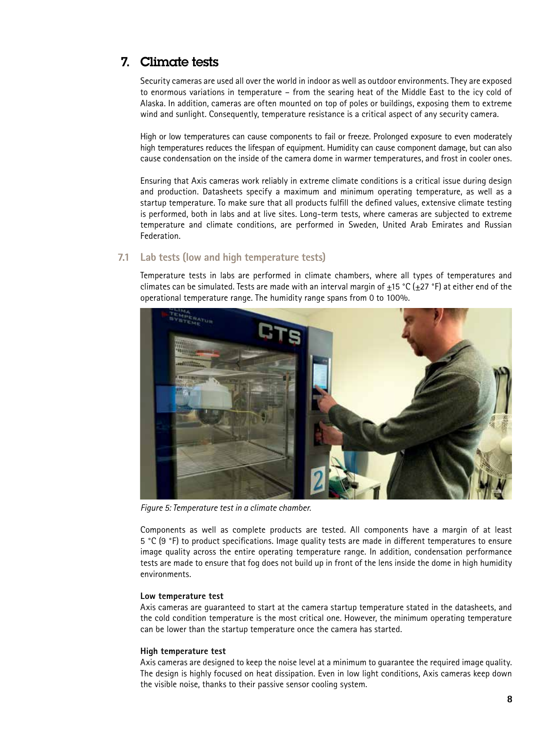## <span id="page-7-0"></span>7. Climate tests

Security cameras are used all over the world in indoor as well as outdoor environments. They are exposed to enormous variations in temperature – from the searing heat of the Middle East to the icy cold of Alaska. In addition, cameras are often mounted on top of poles or buildings, exposing them to extreme wind and sunlight. Consequently, temperature resistance is a critical aspect of any security camera.

High or low temperatures can cause components to fail or freeze. Prolonged exposure to even moderately high temperatures reduces the lifespan of equipment. Humidity can cause component damage, but can also cause condensation on the inside of the camera dome in warmer temperatures, and frost in cooler ones.

Ensuring that Axis cameras work reliably in extreme climate conditions is a critical issue during design and production. Datasheets specify a maximum and minimum operating temperature, as well as a startup temperature. To make sure that all products fulfill the defined values, extensive climate testing is performed, both in labs and at live sites. Long-term tests, where cameras are subjected to extreme temperature and climate conditions, are performed in Sweden, United Arab Emirates and Russian Federation.

#### **7.1 Lab tests (low and high temperature tests)**

Temperature tests in labs are performed in climate chambers, where all types of temperatures and climates can be simulated. Tests are made with an interval margin of  $\pm$ 15 °C ( $\pm$ 27 °F) at either end of the operational temperature range. The humidity range spans from 0 to 100%.



*Figure 5: Temperature test in a climate chamber.*

Components as well as complete products are tested. All components have a margin of at least 5 °C (9 °F) to product specifications. Image quality tests are made in different temperatures to ensure image quality across the entire operating temperature range. In addition, condensation performance tests are made to ensure that fog does not build up in front of the lens inside the dome in high humidity environments.

#### **Low temperature test**

Axis cameras are guaranteed to start at the camera startup temperature stated in the datasheets, and the cold condition temperature is the most critical one. However, the minimum operating temperature can be lower than the startup temperature once the camera has started.

#### **High temperature test**

Axis cameras are designed to keep the noise level at a minimum to guarantee the required image quality. The design is highly focused on heat dissipation. Even in low light conditions, Axis cameras keep down the visible noise, thanks to their passive sensor cooling system.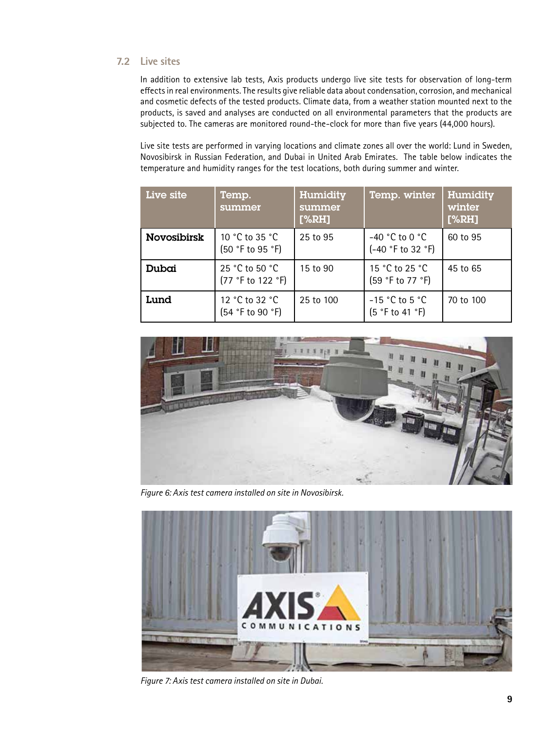#### **7.2 Live sites**

In addition to extensive lab tests, Axis products undergo live site tests for observation of long-term effects in real environments. The results give reliable data about condensation, corrosion, and mechanical and cosmetic defects of the tested products. Climate data, from a weather station mounted next to the products, is saved and analyses are conducted on all environmental parameters that the products are subjected to. The cameras are monitored round-the-clock for more than five years (44,000 hours).

Live site tests are performed in varying locations and climate zones all over the world: Lund in Sweden, Novosibirsk in Russian Federation, and Dubai in United Arab Emirates. The table below indicates the temperature and humidity ranges for the test locations, both during summer and winter.

| Live site          | Temp.<br>summer                     | Humidity<br>summer<br>[%RH] | Temp. winter                          | Humidity<br>winter<br>[%RH] |
|--------------------|-------------------------------------|-----------------------------|---------------------------------------|-----------------------------|
| <b>Novosibirsk</b> | 10 °C to 35 °C.<br>(50 °F to 95 °F) | 25 to 95                    | $-40$ °C to 0 °C<br>(-40 °F to 32 °F) | 60 to 95                    |
| Dubai              | 25 °C to 50 °C<br>(77 °F to 122 °F) | 15 to 90                    | 15 °C to 25 °C<br>(59 °F to 77 °F)    | 45 to 65                    |
| Lund               | 12 °C to 32 °C<br>(54 °F to 90 °F)  | 25 to 100                   | $-15$ °C to 5 °C<br>(5 °F to 41 °F)   | 70 to 100                   |



*Figure 6: Axis test camera installed on site in Novosibirsk.*



*Figure 7: Axis test camera installed on site in Dubai.*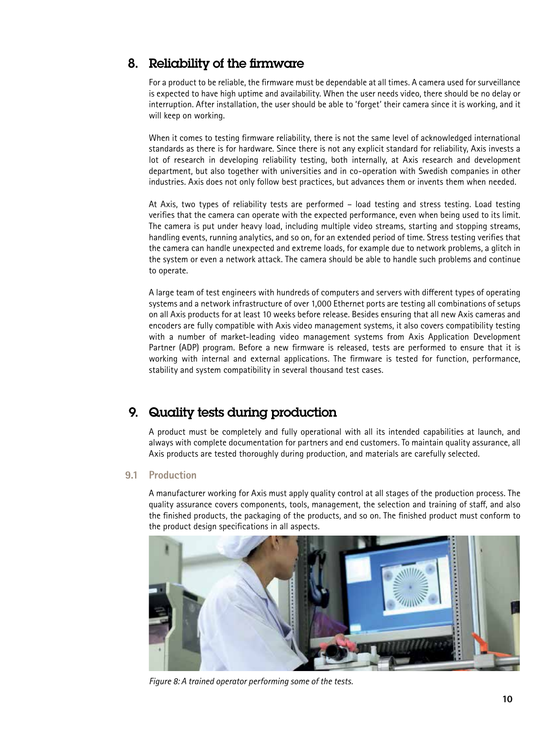## <span id="page-9-0"></span>8. Reliability of the firmware

For a product to be reliable, the firmware must be dependable at all times. A camera used for surveillance is expected to have high uptime and availability. When the user needs video, there should be no delay or interruption. After installation, the user should be able to 'forget' their camera since it is working, and it will keep on working.

When it comes to testing firmware reliability, there is not the same level of acknowledged international standards as there is for hardware. Since there is not any explicit standard for reliability, Axis invests a lot of research in developing reliability testing, both internally, at Axis research and development department, but also together with universities and in co-operation with Swedish companies in other industries. Axis does not only follow best practices, but advances them or invents them when needed.

At Axis, two types of reliability tests are performed – load testing and stress testing. Load testing verifies that the camera can operate with the expected performance, even when being used to its limit. The camera is put under heavy load, including multiple video streams, starting and stopping streams, handling events, running analytics, and so on, for an extended period of time. Stress testing verifies that the camera can handle unexpected and extreme loads, for example due to network problems, a glitch in the system or even a network attack. The camera should be able to handle such problems and continue to operate.

A large team of test engineers with hundreds of computers and servers with different types of operating systems and a network infrastructure of over 1,000 Ethernet ports are testing all combinations of setups on all Axis products for at least 10 weeks before release. Besides ensuring that all new Axis cameras and encoders are fully compatible with Axis video management systems, it also covers compatibility testing with a number of market-leading video management systems from Axis Application Development Partner (ADP) program. Before a new firmware is released, tests are performed to ensure that it is working with internal and external applications. The firmware is tested for function, performance, stability and system compatibility in several thousand test cases.

## 9. Quality tests during production

A product must be completely and fully operational with all its intended capabilities at launch, and always with complete documentation for partners and end customers. To maintain quality assurance, all Axis products are tested thoroughly during production, and materials are carefully selected.

#### **9.1 Production**

A manufacturer working for Axis must apply quality control at all stages of the production process. The quality assurance covers components, tools, management, the selection and training of staff, and also the finished products, the packaging of the products, and so on. The finished product must conform to the product design specifications in all aspects.



*Figure 8: A trained operator performing some of the tests.*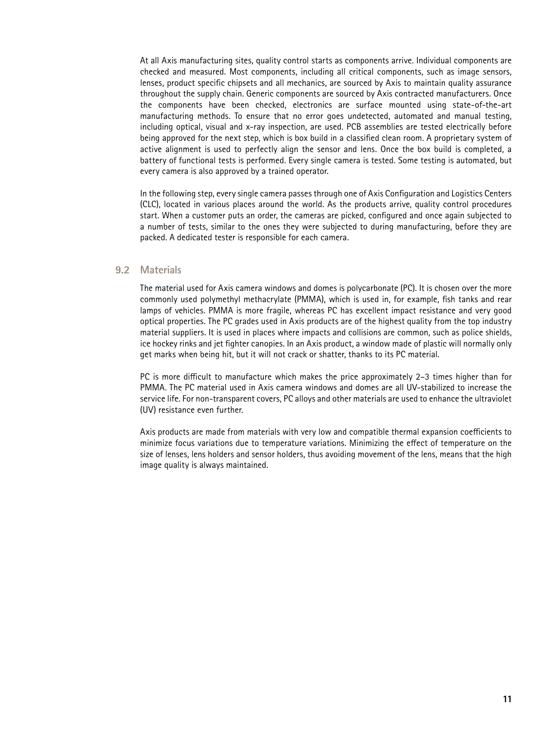At all Axis manufacturing sites, quality control starts as components arrive. Individual components are checked and measured. Most components, including all critical components, such as image sensors, lenses, product specific chipsets and all mechanics, are sourced by Axis to maintain quality assurance throughout the supply chain. Generic components are sourced by Axis contracted manufacturers. Once the components have been checked, electronics are surface mounted using state-of-the-art manufacturing methods. To ensure that no error goes undetected, automated and manual testing, including optical, visual and x-ray inspection, are used. PCB assemblies are tested electrically before being approved for the next step, which is box build in a classified clean room. A proprietary system of active alignment is used to perfectly align the sensor and lens. Once the box build is completed, a battery of functional tests is performed. Every single camera is tested. Some testing is automated, but every camera is also approved by a trained operator.

In the following step, every single camera passes through one of Axis Configuration and Logistics Centers (CLC), located in various places around the world. As the products arrive, quality control procedures start. When a customer puts an order, the cameras are picked, configured and once again subjected to a number of tests, similar to the ones they were subjected to during manufacturing, before they are packed. A dedicated tester is responsible for each camera.

#### **9.2 Materials**

The material used for Axis camera windows and domes is polycarbonate (PC). It is chosen over the more commonly used polymethyl methacrylate (PMMA), which is used in, for example, fish tanks and rear lamps of vehicles. PMMA is more fragile, whereas PC has excellent impact resistance and very good optical properties. The PC grades used in Axis products are of the highest quality from the top industry material suppliers. It is used in places where impacts and collisions are common, such as police shields, ice hockey rinks and jet fighter canopies. In an Axis product, a window made of plastic will normally only get marks when being hit, but it will not crack or shatter, thanks to its PC material.

PC is more difficult to manufacture which makes the price approximately 2–3 times higher than for PMMA. The PC material used in Axis camera windows and domes are all UV-stabilized to increase the service life. For non-transparent covers, PC alloys and other materials are used to enhance the ultraviolet (UV) resistance even further.

Axis products are made from materials with very low and compatible thermal expansion coefficients to minimize focus variations due to temperature variations. Minimizing the effect of temperature on the size of lenses, lens holders and sensor holders, thus avoiding movement of the lens, means that the high image quality is always maintained.